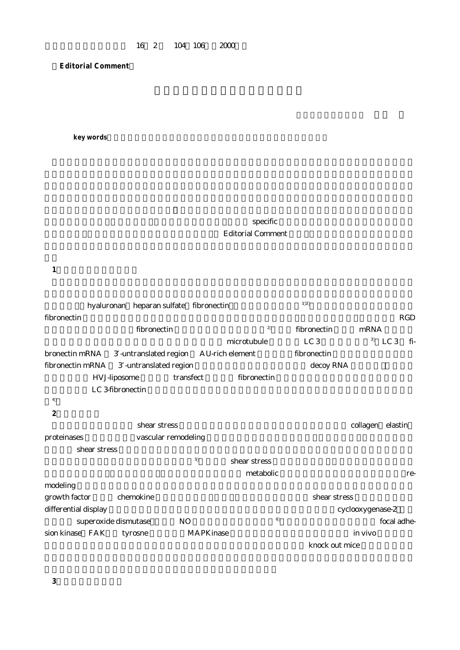**Editorial Comment**

key words

 $\mathbf{specific}$ Editorial Comment

**1.動脈管の新生内膜形成**

| hyaluronan heparan sulfate fibronectin                |           |                  | 12               |      |             |  |
|-------------------------------------------------------|-----------|------------------|------------------|------|-------------|--|
| fibronectin                                           |           |                  |                  |      | RGD         |  |
| fibronectin                                           |           | $\boldsymbol{2}$ | fibronectin      | mRNA |             |  |
|                                                       |           | microtubule      | LC <sub>3</sub>  | 3    | LC 3<br>fi- |  |
| bronectin mRNA 3 -untranslated region AU-rich element |           |                  | fibronectin      |      |             |  |
| fibronectin mRNA 3 -untranslated region               |           |                  | decoy RNA        |      |             |  |
| HVJ-liposome                                          | transfect | fibronectin      |                  |      |             |  |
| LC 3-fibronectin                                      |           |                  |                  |      |             |  |
| $\overline{4}$                                        |           |                  |                  |      |             |  |
| $\boldsymbol{2}$                                      |           |                  |                  |      |             |  |
| shear stress                                          |           |                  | collagen elastin |      |             |  |
| vascular remodeling<br>proteinases                    |           |                  |                  |      |             |  |
| shear stress                                          |           |                  |                  |      |             |  |
|                                                       | 5         | shear stress     |                  |      |             |  |
|                                                       |           | metabolic        |                  |      | re-         |  |
| modeling                                              |           |                  |                  |      |             |  |
| growth factor<br>chemokine                            |           |                  | shear stress     |      |             |  |
| differential display                                  |           |                  | cyclooxygenase-2 |      |             |  |
| superoxide dismutase                                  | NO.       | 6                |                  |      | focal adhe- |  |
| sion kinase FAK<br>tyrosne                            | MAPKinase |                  | in vivo          |      |             |  |
|                                                       |           |                  | knock out mice   |      |             |  |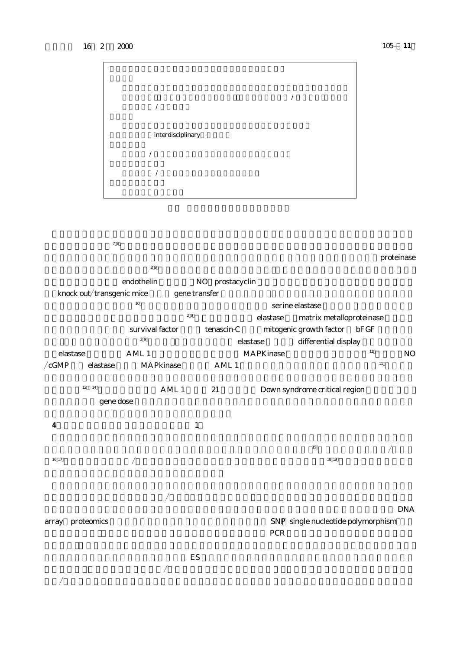



**по** <sup>29</sup> elastase matrix metalloproteinase survival factor tenascin-C mitogenic growth factor bFGF <sub>29</sub> elastase differential display elastase  $\mu$  AML 1  $\mu$  MAPKinase  $\mu$  MO  $\sqrt{cGMP}$  elastase MAPkinase AML 1  $^{11}$ 

 $12<sup>-14</sup>$  AML 1 21 Down syndrome critical region  $g$ ene dose  $g$ 



さらにゲノム情報をふまえ系統的変異導入 ES 細胞を用いた大量遺伝子改変マウス作成プロジェクトが開始さ  $\mathcal{A}$  $\mathcal{A}$